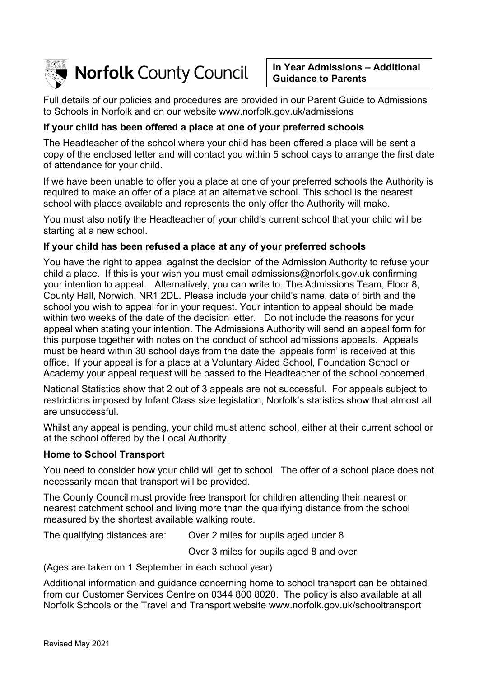

**In Year Admissions – Additional Guidance to Parents**

Full details of our policies and procedures are provided in our Parent Guide to Admissions to Schools in Norfolk and on our website www.norfolk.gov.uk/admissions

# **If your child has been offered a place at one of your preferred schools**

The Headteacher of the school where your child has been offered a place will be sent a copy of the enclosed letter and will contact you within 5 school days to arrange the first date of attendance for your child.

If we have been unable to offer you a place at one of your preferred schools the Authority is required to make an offer of a place at an alternative school. This school is the nearest school with places available and represents the only offer the Authority will make.

You must also notify the Headteacher of your child's current school that your child will be starting at a new school.

### **If your child has been refused a place at any of your preferred schools**

You have the right to appeal against the decision of the Admission Authority to refuse your child a place. If this is your wish you must email admissions@norfolk.gov.uk confirming your intention to appeal. Alternatively, you can write to: The Admissions Team, Floor 8, County Hall, Norwich, NR1 2DL. Please include your child's name, date of birth and the school you wish to appeal for in your request. Your intention to appeal should be made within two weeks of the date of the decision letter. Do not include the reasons for your appeal when stating your intention. The Admissions Authority will send an appeal form for this purpose together with notes on the conduct of school admissions appeals. Appeals must be heard within 30 school days from the date the 'appeals form' is received at this office. If your appeal is for a place at a Voluntary Aided School, Foundation School or Academy your appeal request will be passed to the Headteacher of the school concerned.

National Statistics show that 2 out of 3 appeals are not successful. For appeals subject to restrictions imposed by Infant Class size legislation, Norfolk's statistics show that almost all are unsuccessful.

Whilst any appeal is pending, your child must attend school, either at their current school or at the school offered by the Local Authority.

### **Home to School Transport**

You need to consider how your child will get to school. The offer of a school place does not necessarily mean that transport will be provided.

The County Council must provide free transport for children attending their nearest or nearest catchment school and living more than the qualifying distance from the school measured by the shortest available walking route.

The qualifying distances are: Over 2 miles for pupils aged under 8

Over 3 miles for pupils aged 8 and over

(Ages are taken on 1 September in each school year)

Additional information and guidance concerning home to school transport can be obtained from our Customer Services Centre on 0344 800 8020. The policy is also available at all Norfolk Schools or the Travel and Transport website www.norfolk.gov.uk/schooltransport